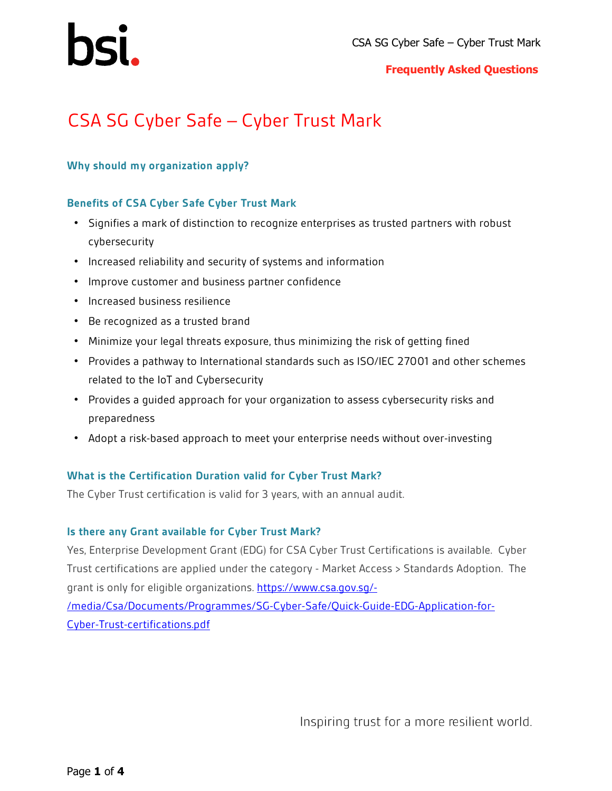#### **Frequently Asked Questions**

## CSA SG Cyber Safe – Cyber Trust Mark

#### **Why should my organization apply?**

#### **Benefits of CSA Cyber Safe Cyber Trust Mark**

- Signifies a mark of distinction to recognize enterprises as trusted partners with robust cybersecurity
- Increased reliability and security of systems and information
- Improve customer and business partner confidence
- Increased business resilience
- Be recognized as a trusted brand
- Minimize your legal threats exposure, thus minimizing the risk of getting fined
- Provides a pathway to International standards such as ISO/IEC 27001 and other schemes related to the IoT and Cybersecurity
- Provides a guided approach for your organization to assess cybersecurity risks and preparedness
- Adopt a risk-based approach to meet your enterprise needs without over-investing

#### **What is the Certification Duration valid for Cyber Trust Mark?**

The Cyber Trust certification is valid for 3 years, with an annual audit.

#### **Is there any Grant available for Cyber Trust Mark?**

Yes, Enterprise Development Grant (EDG) for CSA Cyber Trust Certifications is available. Cyber Trust certifications are applied under the category - Market Access > Standards Adoption. The grant is only for eligible organizations. [https://www.csa.gov.sg/-](https://www.csa.gov.sg/-/media/Csa/Documents/Programmes/SG-Cyber-Safe/Quick-Guide-EDG-Application-for-Cyber-Trust-certifications.pdf)

[/media/Csa/Documents/Programmes/SG-Cyber-Safe/Quick-Guide-EDG-Application-for-](https://www.csa.gov.sg/-/media/Csa/Documents/Programmes/SG-Cyber-Safe/Quick-Guide-EDG-Application-for-Cyber-Trust-certifications.pdf)[Cyber-Trust-certifications.pdf](https://www.csa.gov.sg/-/media/Csa/Documents/Programmes/SG-Cyber-Safe/Quick-Guide-EDG-Application-for-Cyber-Trust-certifications.pdf)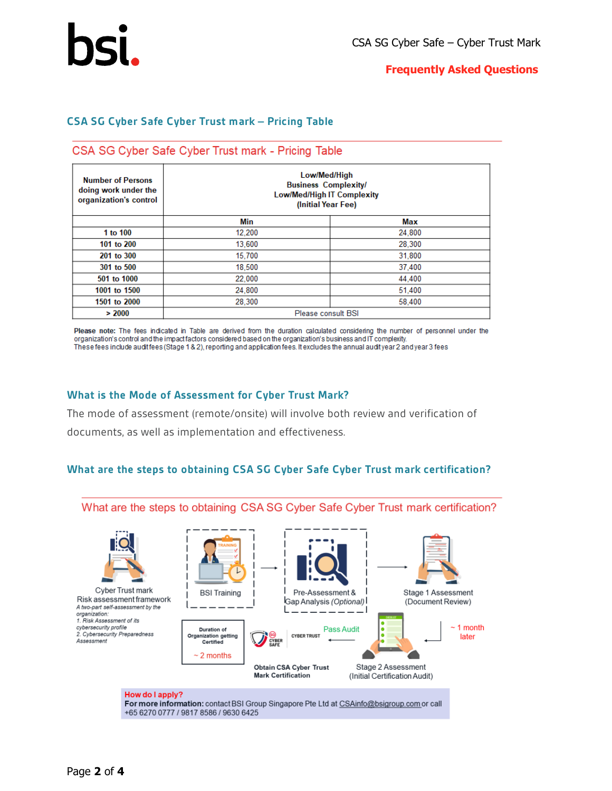#### **Frequently Asked Questions**

#### **CSA SG Cyber Safe Cyber Trust mark – Pricing Table**

#### CSA SG Cyber Safe Cyber Trust mark - Pricing Table

| <b>Number of Persons</b><br>doing work under the<br>organization's control | Low/Med/High<br><b>Business Complexity/</b><br><b>Low/Med/High IT Complexity</b><br>(Initial Year Fee) |        |  |  |  |
|----------------------------------------------------------------------------|--------------------------------------------------------------------------------------------------------|--------|--|--|--|
|                                                                            | Min                                                                                                    | Max    |  |  |  |
| 1 to 100                                                                   | 12,200                                                                                                 | 24,800 |  |  |  |
| 101 to 200                                                                 | 13,600                                                                                                 | 28,300 |  |  |  |
| 201 to 300                                                                 | 15.700                                                                                                 | 31,800 |  |  |  |
| 301 to 500                                                                 | 18,500                                                                                                 | 37,400 |  |  |  |
| 501 to 1000                                                                | 22,000                                                                                                 | 44,400 |  |  |  |
| 1001 to 1500                                                               | 24.800                                                                                                 | 51.400 |  |  |  |
| 1501 to 2000                                                               | 28,300                                                                                                 | 58,400 |  |  |  |
| > 2000                                                                     | Please consult BSI                                                                                     |        |  |  |  |

Please note: The fees indicated in Table are derived from the duration calculated considering the number of personnel under the organization's control and the impact factors considered based on the organization's business and IT complexity. These fees include auditfees (Stage 1 & 2), reporting and application fees. It excludes the annual audityear 2 and year 3 fees

#### **What is the Mode of Assessment for Cyber Trust Mark?**

The mode of assessment (remote/onsite) will involve both review and verification of documents, as well as implementation and effectiveness.

#### **What are the steps to obtaining CSA SG Cyber Safe Cyber Trust mark certification?**



For more information: contact BSI Group Singapore Pte Ltd at CSAinfo@bsigroup.com or call +65 6270 0777 / 9817 8586 / 9630 6425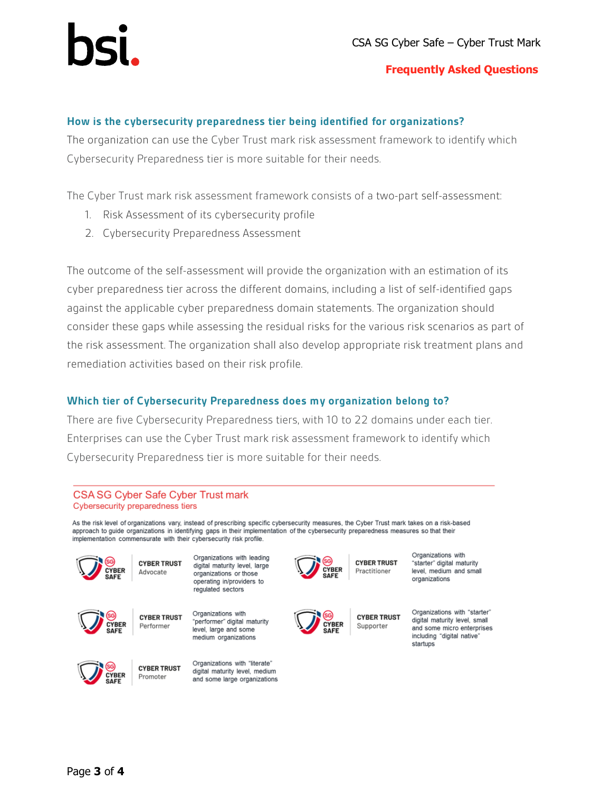

#### **Frequently Asked Questions**

#### **How is the cybersecurity preparedness tier being identified for organizations?**

The organization can use the Cyber Trust mark risk assessment framework to identify which Cybersecurity Preparedness tier is more suitable for their needs.

The Cyber Trust mark risk assessment framework consists of a two-part self-assessment:

- 1. Risk Assessment of its cybersecurity profile
- 2. Cybersecurity Preparedness Assessment

The outcome of the self-assessment will provide the organization with an estimation of its cyber preparedness tier across the different domains, including a list of self-identified gaps against the applicable cyber preparedness domain statements. The organization should consider these gaps while assessing the residual risks for the various risk scenarios as part of the risk assessment. The organization shall also develop appropriate risk treatment plans and remediation activities based on their risk profile.

#### **Which tier of Cybersecurity Preparedness does my organization belong to?**

There are five Cybersecurity Preparedness tiers, with 10 to 22 domains under each tier. Enterprises can use the Cyber Trust mark risk assessment framework to identify which Cybersecurity Preparedness tier is more suitable for their needs.

#### CSA SG Cyber Safe Cyber Trust mark Cybersecurity preparedness tiers

As the risk level of organizations vary, instead of prescribing specific cybersecurity measures, the Cyber Trust mark takes on a risk-based approach to quide organizations in identifying gaps in their implementation of the cybersecurity preparedness measures so that their implementation commensurate with their cybersecurity risk profile.



Organizations with leading **CYBER TRUST** digital maturity level, large Advocate organizations or those operating in/providers to



Organizations with **CYBER TRUST** Performer level, large and some medium organizations

regulated sectors

Organizations with "literate"

digital maturity level, medium

and some large organizations

**CYBER TRUST** Promoter





**CYBER TRUST** Practitioner



**CYBER TRUST** Supporter

Organizations with "starter" digital maturity level medium and small organizations

Organizations with "starter" digital maturity level, small and some micro enterprises including "digital native" startups